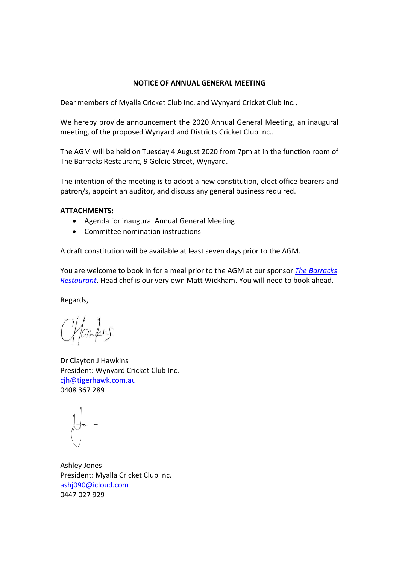#### **NOTICE OF ANNUAL GENERAL MEETING**

Dear members of Myalla Cricket Club Inc. and Wynyard Cricket Club Inc.,

We hereby provide announcement the 2020 Annual General Meeting, an inaugural meeting, of the proposed Wynyard and Districts Cricket Club Inc..

The AGM will be held on Tuesday 4 August 2020 from 7pm at in the function room of The Barracks Restaurant, 9 Goldie Street, Wynyard.

The intention of the meeting is to adopt a new constitution, elect office bearers and patron/s, appoint an auditor, and discuss any general business required.

## **ATTACHMENTS:**

- Agenda for inaugural Annual General Meeting
- Committee nomination instructions

A draft constitution will be available at least seven days prior to the AGM.

You are welcome to book in for a meal prior to the AGM at our sponsor *[The Barracks](https://www.facebook.com/thebarracksrestaurant/)  [Restaurant](https://www.facebook.com/thebarracksrestaurant/)*. Head chef is our very own Matt Wickham. You will need to book ahead.

Regards,

Dr Clayton J Hawkins President: Wynyard Cricket Club Inc. [cjh@tigerhawk.com.au](mailto:cjh@tigerhawk.com.au) 0408 367 289

Ashley Jones President: Myalla Cricket Club Inc. [ashj090@icloud.com](mailto:ashj090@icloud.com) 0447 027 929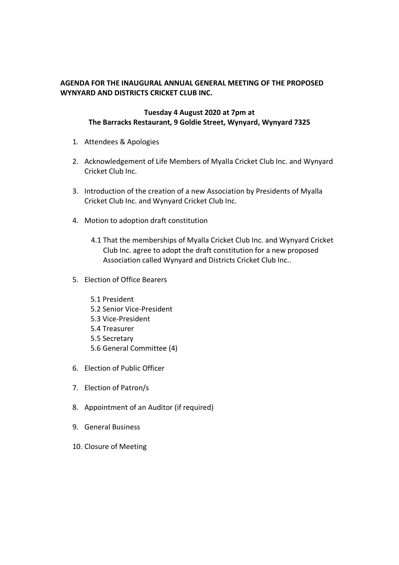# **AGENDA FOR THE INAUGURAL ANNUAL GENERAL MEETING OF THE PROPOSED WYNYARD AND DISTRICTS CRICKET CLUB INC.**

## **Tuesday 4 August 2020 at 7pm at The Barracks Restaurant, 9 Goldie Street, Wynyard, Wynyard 7325**

- 1. Attendees & Apologies
- 2. Acknowledgement of Life Members of Myalla Cricket Club Inc. and Wynyard Cricket Club Inc.
- 3. Introduction of the creation of a new Association by Presidents of Myalla Cricket Club Inc. and Wynyard Cricket Club Inc.
- 4. Motion to adoption draft constitution
	- 4.1 That the memberships of Myalla Cricket Club Inc. and Wynyard Cricket Club Inc. agree to adopt the draft constitution for a new proposed Association called Wynyard and Districts Cricket Club Inc..
- 5. Election of Office Bearers
	- 5.1 President 5.2 Senior Vice-President 5.3 Vice-President 5.4 Treasurer 5.5 Secretary 5.6 General Committee (4)
- 6. Election of Public Officer
- 7. Election of Patron/s
- 8. Appointment of an Auditor (if required)
- 9. General Business
- 10. Closure of Meeting